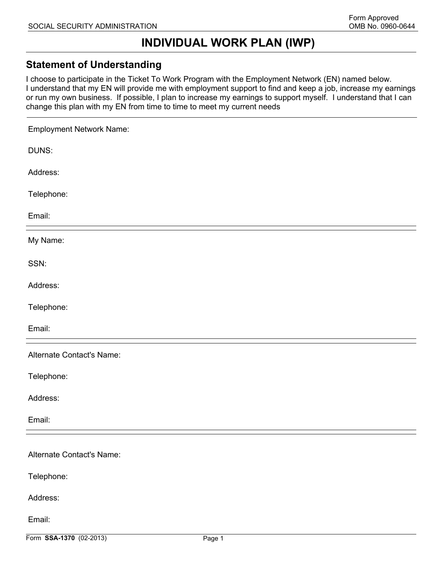# **INDIVIDUAL WORK PLAN (IWP)**

#### **Statement of Understanding**

I choose to participate in the Ticket To Work Program with the Employment Network (EN) named below. I understand that my EN will provide me with employment support to find and keep a job, increase my earnings or run my own business. If possible, I plan to increase my earnings to support myself. I understand that I can change this plan with my EN from time to time to meet my current needs

| <b>Employment Network Name:</b> |        |
|---------------------------------|--------|
| DUNS:                           |        |
| Address:                        |        |
| Telephone:                      |        |
| Email:                          |        |
| My Name:                        |        |
| SSN:                            |        |
| Address:                        |        |
| Telephone:                      |        |
| Email:                          |        |
| Alternate Contact's Name:       |        |
| Telephone:                      |        |
| Address:                        |        |
| Email:                          |        |
| Alternate Contact's Name:       |        |
|                                 |        |
| Telephone:                      |        |
| Address:                        |        |
| Email:                          |        |
| Form SSA-1370 (02-2013)         | Page 1 |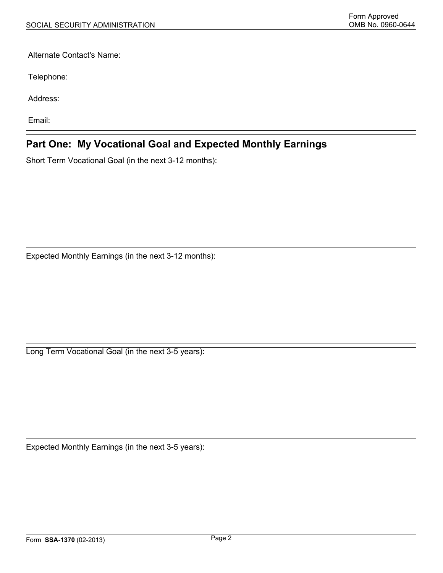Alternate Contact's Name:

Telephone:

Address:

Email:

### **Part One: My Vocational Goal and Expected Monthly Earnings**

Short Term Vocational Goal (in the next 3-12 months):

Expected Monthly Earnings (in the next 3-12 months):

Long Term Vocational Goal (in the next 3-5 years):

Expected Monthly Earnings (in the next 3-5 years):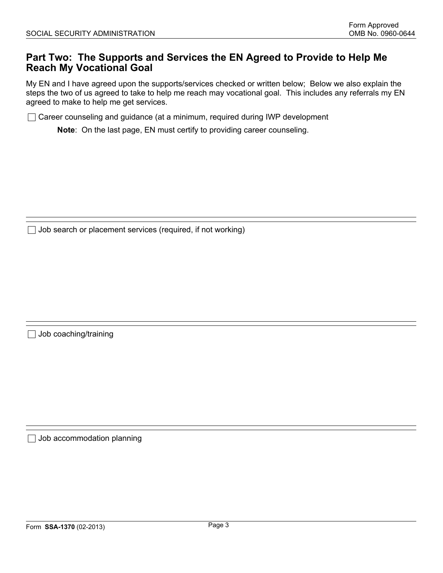#### **Part Two: The Supports and Services the EN Agreed to Provide to Help Me Reach My Vocational Goal**

My EN and I have agreed upon the supports/services checked or written below; Below we also explain the steps the two of us agreed to take to help me reach may vocational goal. This includes any referrals my EN agreed to make to help me get services.

◯ Career counseling and guidance (at a minimum, required during IWP development

**Note**: On the last page, EN must certify to providing career counseling.

 $\Box$  Job search or placement services (required, if not working)

 $\Box$  Job coaching/training

 $\Box$  Job accommodation planning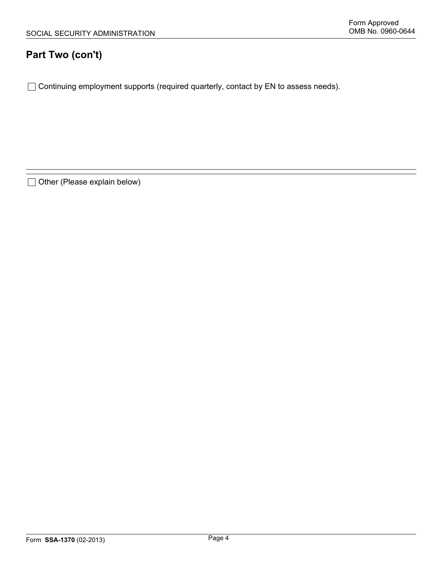## **Part Two (con't)**

□ Continuing employment supports (required quarterly, contact by EN to assess needs).

□ Other (Please explain below)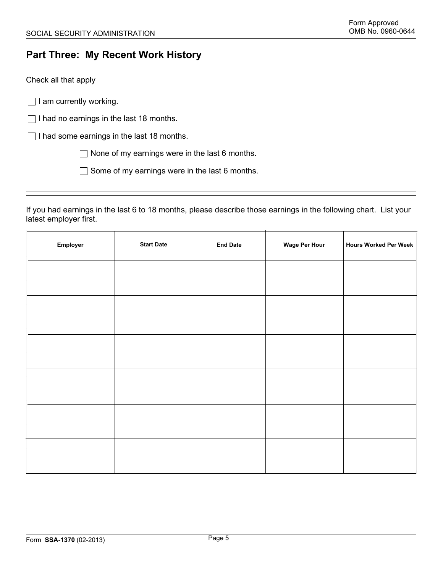## **Part Three: My Recent Work History**

Check all that apply

 $\Box$  I am currently working.

 $\Box$  I had no earnings in the last 18 months.

 $\Box$  I had some earnings in the last 18 months.

 $\Box$  None of my earnings were in the last 6 months.

 $\Box$  Some of my earnings were in the last 6 months.

If you had earnings in the last 6 to 18 months, please describe those earnings in the following chart. List your latest employer first.

| Employer | <b>Start Date</b> | <b>End Date</b> | <b>Wage Per Hour</b> | <b>Hours Worked Per Week</b> |
|----------|-------------------|-----------------|----------------------|------------------------------|
|          |                   |                 |                      |                              |
|          |                   |                 |                      |                              |
|          |                   |                 |                      |                              |
|          |                   |                 |                      |                              |
|          |                   |                 |                      |                              |
|          |                   |                 |                      |                              |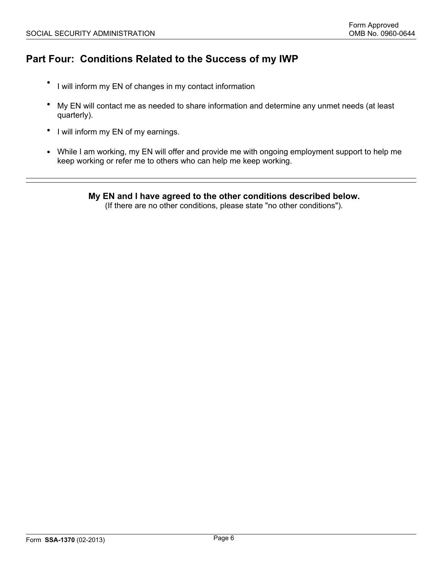## **Part Four: Conditions Related to the Success of my IWP**

- I will inform my EN of changes in my contact information
- My EN will contact me as needed to share information and determine any unmet needs (at least quarterly).
- I will inform my EN of my earnings.
- While I am working, my EN will offer and provide me with ongoing employment support to help me keep working or refer me to others who can help me keep working.

**My EN and I have agreed to the other conditions described below.** 

(If there are no other conditions, please state "no other conditions").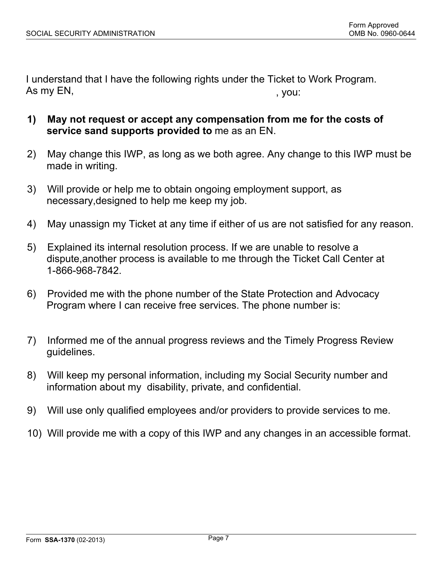I understand that I have the following rights under the Ticket to Work Program. As my EN, the contract of the contract of the contract of the contract of the contract of the contract of the contract of the contract of the contract of the contract of the contract of the contract of the contract of the

- **1) May not request or accept any compensation from me for the costs of service sand supports provided to** me as an EN.
- 2) May change this IWP, as long as we both agree. Any change to this IWP must be made in writing.
- 3) Will provide or help me to obtain ongoing employment support, as necessary,designed to help me keep my job.
- 4) May unassign my Ticket at any time if either of us are not satisfied for any reason.
- 5) Explained its internal resolution process. If we are unable to resolve a dispute,another process is available to me through the Ticket Call Center at 1-866-968-7842.
- 6) Provided me with the phone number of the State Protection and Advocacy Program where I can receive free services. The phone number is:
- 7) Informed me of the annual progress reviews and the Timely Progress Review guidelines.
- 8) Will keep my personal information, including my Social Security number and information about my disability, private, and confidential.
- 9) Will use only qualified employees and/or providers to provide services to me.
- 10) Will provide me with a copy of this IWP and any changes in an accessible format.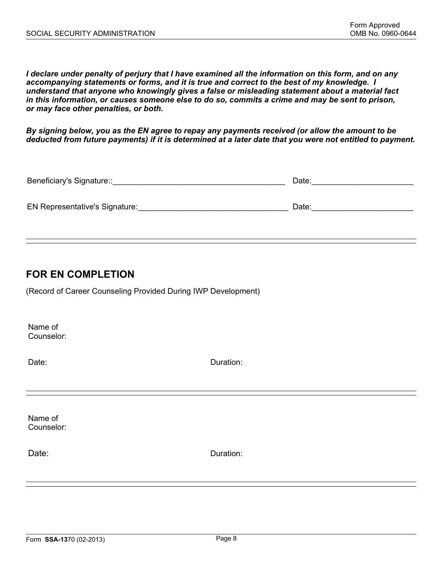*I declare under penalty of perjury that I have examined all the information on this form, and on any accompanying statements or forms, and it is true and correct to the best of my knowledge. I understand that anyone who knowingly gives a false or misleading statement about a material fact in this information, or causes someone else to do so, commits a crime and may be sent to prison, or may face other penalties, or both.*

*By signing below, you as the EN agree to repay any payments received (or allow the amount to be deducted from future payments) if it is determined at a later date that you were not entitled to payment.*

| Beneficiary's Signature::      | Date: |  |
|--------------------------------|-------|--|
|                                |       |  |
| EN Representative's Signature: | Date: |  |

### **FOR EN COMPLETION**

(Record of Career Counseling Provided During IWP Development)

Name of Counselor:

Date: **Date: Duration: Duration: Duration:** 

Name of Counselor:

Date: **Date: Date: Duration: Duration: Duration:**